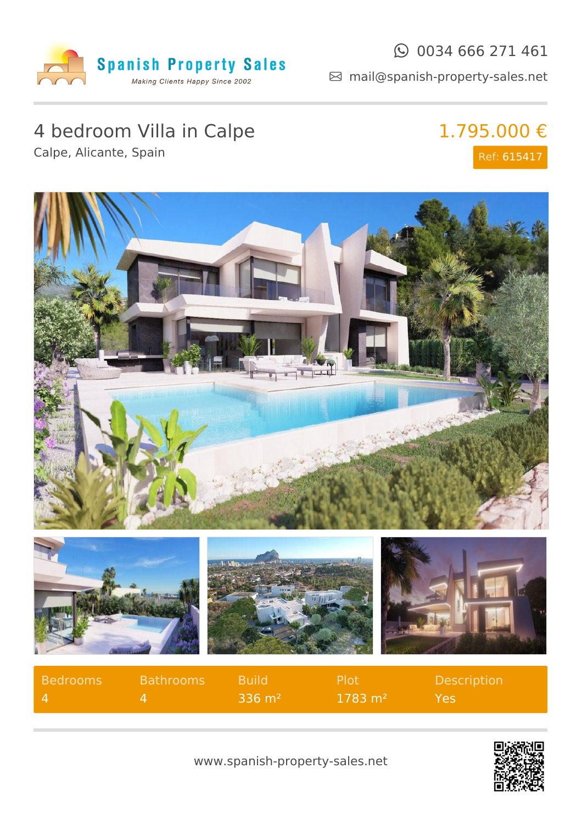

#### $\odot$  0034 666 271 461

mail@spanish-property-sales.net

# 4 bedroom Villa in Calpe

## 1.795.000 € Ref: 615417

Calpe, Alicante, Spain



| Bedrooms     | Bathrooms A | <b>Build</b>       | - Plot             | <b>Description</b> |
|--------------|-------------|--------------------|--------------------|--------------------|
| $\mathbf{4}$ |             | $-336 \text{ m}^2$ | $1783 \text{ m}^2$ | Yes.               |